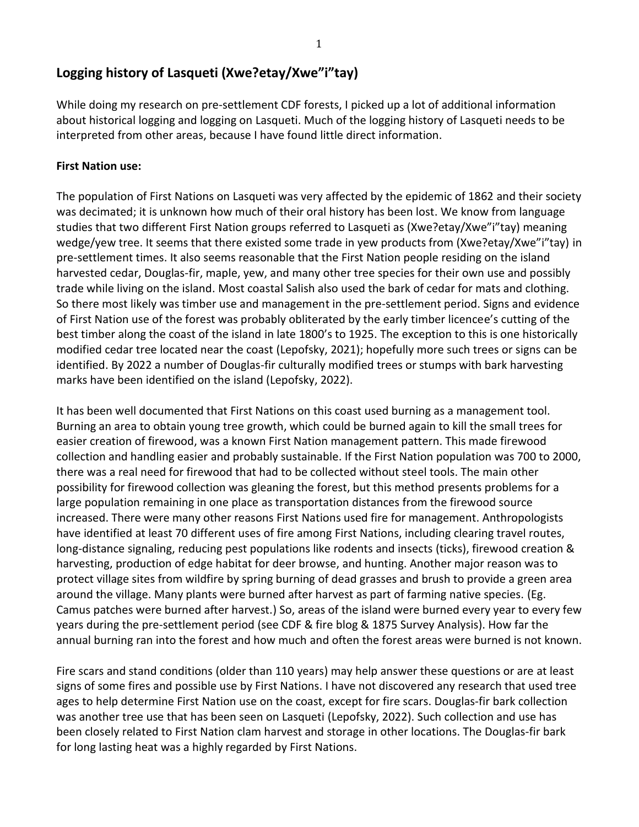# **Logging history of Lasqueti (Xwe?etay/Xwe"i"tay)**

While doing my research on pre-settlement CDF forests, I picked up a lot of additional information about historical logging and logging on Lasqueti. Much of the logging history of Lasqueti needs to be interpreted from other areas, because I have found little direct information.

## **First Nation use:**

The population of First Nations on Lasqueti was very affected by the epidemic of 1862 and their society was decimated; it is unknown how much of their oral history has been lost. We know from language studies that two different First Nation groups referred to Lasqueti as (Xwe?etay/Xwe"i"tay) meaning wedge/yew tree. It seems that there existed some trade in yew products from (Xwe?etay/Xwe"i"tay) in pre-settlement times. It also seems reasonable that the First Nation people residing on the island harvested cedar, Douglas-fir, maple, yew, and many other tree species for their own use and possibly trade while living on the island. Most coastal Salish also used the bark of cedar for mats and clothing. So there most likely was timber use and management in the pre-settlement period. Signs and evidence of First Nation use of the forest was probably obliterated by the early timber licencee's cutting of the best timber along the coast of the island in late 1800's to 1925. The exception to this is one historically modified cedar tree located near the coast (Lepofsky, 2021); hopefully more such trees or signs can be identified. By 2022 a number of Douglas-fir culturally modified trees or stumps with bark harvesting marks have been identified on the island (Lepofsky, 2022).

It has been well documented that First Nations on this coast used burning as a management tool. Burning an area to obtain young tree growth, which could be burned again to kill the small trees for easier creation of firewood, was a known First Nation management pattern. This made firewood collection and handling easier and probably sustainable. If the First Nation population was 700 to 2000, there was a real need for firewood that had to be collected without steel tools. The main other possibility for firewood collection was gleaning the forest, but this method presents problems for a large population remaining in one place as transportation distances from the firewood source increased. There were many other reasons First Nations used fire for management. Anthropologists have identified at least 70 different uses of fire among First Nations, including clearing travel routes, long-distance signaling, reducing pest populations like rodents and insects (ticks), firewood creation & harvesting, production of edge habitat for deer browse, and hunting. Another major reason was to protect village sites from wildfire by spring burning of dead grasses and brush to provide a green area around the village. Many plants were burned after harvest as part of farming native species. (Eg. Camus patches were burned after harvest.) So, areas of the island were burned every year to every few years during the pre-settlement period (see CDF & fire blog & 1875 Survey Analysis). How far the annual burning ran into the forest and how much and often the forest areas were burned is not known.

Fire scars and stand conditions (older than 110 years) may help answer these questions or are at least signs of some fires and possible use by First Nations. I have not discovered any research that used tree ages to help determine First Nation use on the coast, except for fire scars. Douglas-fir bark collection was another tree use that has been seen on Lasqueti (Lepofsky, 2022). Such collection and use has been closely related to First Nation clam harvest and storage in other locations. The Douglas-fir bark for long lasting heat was a highly regarded by First Nations.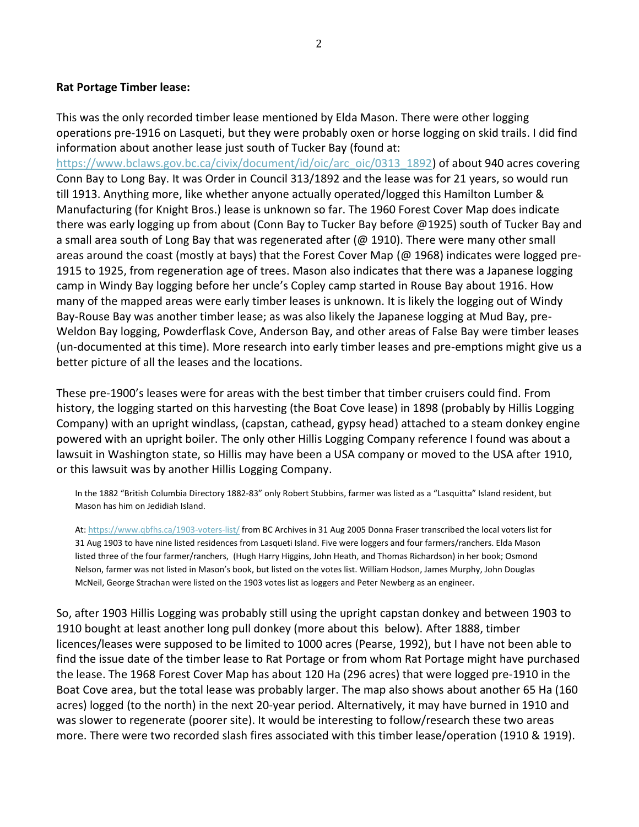## **Rat Portage Timber lease:**

This was the only recorded timber lease mentioned by Elda Mason. There were other logging operations pre-1916 on Lasqueti, but they were probably oxen or horse logging on skid trails. I did find information about another lease just south of Tucker Bay (found at:

[https://www.bclaws.gov.bc.ca/civix/document/id/oic/arc\\_oic/0313\\_1892\)](https://www.bclaws.gov.bc.ca/civix/document/id/oic/arc_oic/0313_1892) of about 940 acres covering Conn Bay to Long Bay. It was Order in Council 313/1892 and the lease was for 21 years, so would run till 1913. Anything more, like whether anyone actually operated/logged this Hamilton Lumber & Manufacturing (for Knight Bros.) lease is unknown so far. The 1960 Forest Cover Map does indicate there was early logging up from about (Conn Bay to Tucker Bay before @1925) south of Tucker Bay and a small area south of Long Bay that was regenerated after (@ 1910). There were many other small areas around the coast (mostly at bays) that the Forest Cover Map (@ 1968) indicates were logged pre-1915 to 1925, from regeneration age of trees. Mason also indicates that there was a Japanese logging camp in Windy Bay logging before her uncle's Copley camp started in Rouse Bay about 1916. How many of the mapped areas were early timber leases is unknown. It is likely the logging out of Windy Bay-Rouse Bay was another timber lease; as was also likely the Japanese logging at Mud Bay, pre-Weldon Bay logging, Powderflask Cove, Anderson Bay, and other areas of False Bay were timber leases (un-documented at this time). More research into early timber leases and pre-emptions might give us a better picture of all the leases and the locations.

These pre-1900's leases were for areas with the best timber that timber cruisers could find. From history, the logging started on this harvesting (the Boat Cove lease) in 1898 (probably by Hillis Logging Company) with an upright windlass, (capstan, cathead, gypsy head) attached to a steam donkey engine powered with an upright boiler. The only other Hillis Logging Company reference I found was about a lawsuit in Washington state, so Hillis may have been a USA company or moved to the USA after 1910, or this lawsuit was by another Hillis Logging Company.

In the 1882 "British Columbia Directory 1882-83" only Robert Stubbins, farmer was listed as a "Lasquitta" Island resident, but Mason has him on Jedidiah Island.

At[: https://www.qbfhs.ca/1903-voters-list/](https://www.qbfhs.ca/1903-voters-list/) from BC Archives in 31 Aug 2005 Donna Fraser transcribed the local voters list for 31 Aug 1903 to have nine listed residences from Lasqueti Island. Five were loggers and four farmers/ranchers. Elda Mason listed three of the four farmer/ranchers, (Hugh Harry Higgins, John Heath, and Thomas Richardson) in her book; Osmond Nelson, farmer was not listed in Mason's book, but listed on the votes list. William Hodson, James Murphy, John Douglas McNeil, George Strachan were listed on the 1903 votes list as loggers and Peter Newberg as an engineer.

So, after 1903 Hillis Logging was probably still using the upright capstan donkey and between 1903 to 1910 bought at least another long pull donkey (more about this below). After 1888, timber licences/leases were supposed to be limited to 1000 acres (Pearse, 1992), but I have not been able to find the issue date of the timber lease to Rat Portage or from whom Rat Portage might have purchased the lease. The 1968 Forest Cover Map has about 120 Ha (296 acres) that were logged pre-1910 in the Boat Cove area, but the total lease was probably larger. The map also shows about another 65 Ha (160 acres) logged (to the north) in the next 20-year period. Alternatively, it may have burned in 1910 and was slower to regenerate (poorer site). It would be interesting to follow/research these two areas more. There were two recorded slash fires associated with this timber lease/operation (1910 & 1919).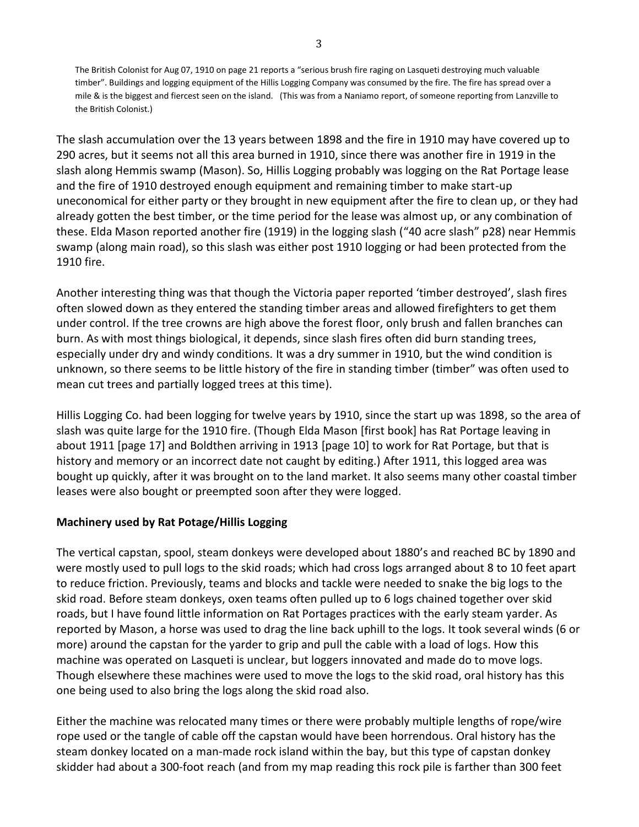The British Colonist for Aug 07, 1910 on page 21 reports a "serious brush fire raging on Lasqueti destroying much valuable timber". Buildings and logging equipment of the Hillis Logging Company was consumed by the fire. The fire has spread over a mile & is the biggest and fiercest seen on the island. (This was from a Naniamo report, of someone reporting from Lanzville to the British Colonist.)

The slash accumulation over the 13 years between 1898 and the fire in 1910 may have covered up to 290 acres, but it seems not all this area burned in 1910, since there was another fire in 1919 in the slash along Hemmis swamp (Mason). So, Hillis Logging probably was logging on the Rat Portage lease and the fire of 1910 destroyed enough equipment and remaining timber to make start-up uneconomical for either party or they brought in new equipment after the fire to clean up, or they had already gotten the best timber, or the time period for the lease was almost up, or any combination of these. Elda Mason reported another fire (1919) in the logging slash ("40 acre slash" p28) near Hemmis swamp (along main road), so this slash was either post 1910 logging or had been protected from the 1910 fire.

Another interesting thing was that though the Victoria paper reported 'timber destroyed', slash fires often slowed down as they entered the standing timber areas and allowed firefighters to get them under control. If the tree crowns are high above the forest floor, only brush and fallen branches can burn. As with most things biological, it depends, since slash fires often did burn standing trees, especially under dry and windy conditions. It was a dry summer in 1910, but the wind condition is unknown, so there seems to be little history of the fire in standing timber (timber" was often used to mean cut trees and partially logged trees at this time).

Hillis Logging Co. had been logging for twelve years by 1910, since the start up was 1898, so the area of slash was quite large for the 1910 fire. (Though Elda Mason [first book] has Rat Portage leaving in about 1911 [page 17] and Boldthen arriving in 1913 [page 10] to work for Rat Portage, but that is history and memory or an incorrect date not caught by editing.) After 1911, this logged area was bought up quickly, after it was brought on to the land market. It also seems many other coastal timber leases were also bought or preempted soon after they were logged.

## **Machinery used by Rat Potage/Hillis Logging**

The vertical capstan, spool, steam donkeys were developed about 1880's and reached BC by 1890 and were mostly used to pull logs to the skid roads; which had cross logs arranged about 8 to 10 feet apart to reduce friction. Previously, teams and blocks and tackle were needed to snake the big logs to the skid road. Before steam donkeys, oxen teams often pulled up to 6 logs chained together over skid roads, but I have found little information on Rat Portages practices with the early steam yarder. As reported by Mason, a horse was used to drag the line back uphill to the logs. It took several winds (6 or more) around the capstan for the yarder to grip and pull the cable with a load of logs. How this machine was operated on Lasqueti is unclear, but loggers innovated and made do to move logs. Though elsewhere these machines were used to move the logs to the skid road, oral history has this one being used to also bring the logs along the skid road also.

Either the machine was relocated many times or there were probably multiple lengths of rope/wire rope used or the tangle of cable off the capstan would have been horrendous. Oral history has the steam donkey located on a man-made rock island within the bay, but this type of capstan donkey skidder had about a 300-foot reach (and from my map reading this rock pile is farther than 300 feet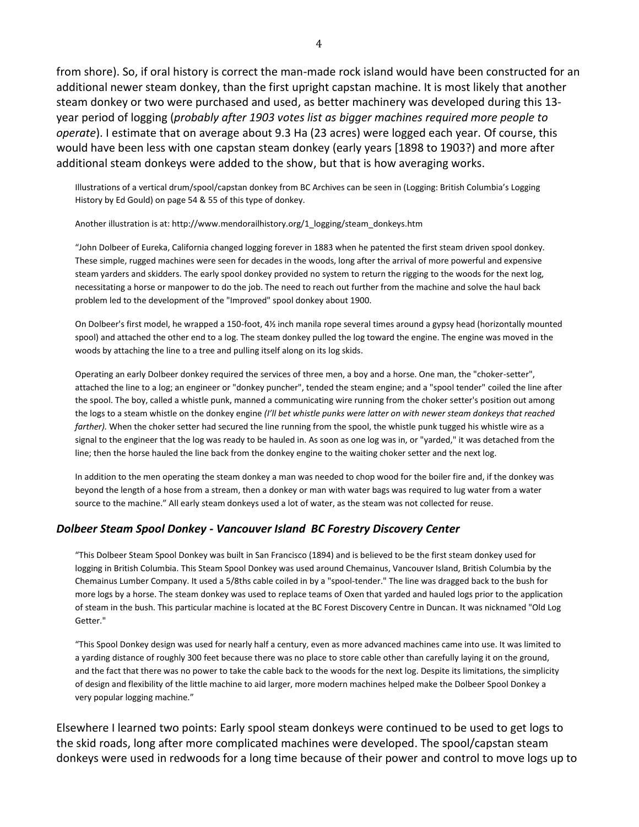from shore). So, if oral history is correct the man-made rock island would have been constructed for an additional newer steam donkey, than the first upright capstan machine. It is most likely that another steam donkey or two were purchased and used, as better machinery was developed during this 13 year period of logging (*probably after 1903 votes list as bigger machines required more people to operate*). I estimate that on average about 9.3 Ha (23 acres) were logged each year. Of course, this would have been less with one capstan steam donkey (early years [1898 to 1903?) and more after additional steam donkeys were added to the show, but that is how averaging works.

Illustrations of a vertical drum/spool/capstan donkey from BC Archives can be seen in (Logging: British Columbia's Logging History by Ed Gould) on page 54 & 55 of this type of donkey.

#### Another illustration is at: http://www.mendorailhistory.org/1\_logging/steam\_donkeys.htm

"John Dolbeer of Eureka, California changed logging forever in 1883 when he patented the first steam driven spool donkey. These simple, rugged machines were seen for decades in the woods, long after the arrival of more powerful and expensive steam yarders and skidders. The early spool donkey provided no system to return the rigging to the woods for the next log, necessitating a horse or manpower to do the job. The need to reach out further from the machine and solve the haul back problem led to the development of the "Improved" spool donkey about 1900.

On Dolbeer's first model, he wrapped a 150-foot, 4½ inch manila rope several times around a gypsy head (horizontally mounted spool) and attached the other end to a log. The steam donkey pulled the log toward the engine. The engine was moved in the woods by attaching the line to a tree and pulling itself along on its log skids.

Operating an early Dolbeer donkey required the services of three men, a boy and a horse. One man, the "choker-setter", attached the line to a log; an engineer or "donkey puncher", tended the steam engine; and a "spool tender" coiled the line after the spool. The boy, called a whistle punk, manned a communicating wire running from the choker setter's position out among the logs to a steam whistle on the donkey engine *(I'll bet whistle punks were latter on with newer steam donkeys that reached farther).* When the choker setter had secured the line running from the spool, the whistle punk tugged his whistle wire as a signal to the engineer that the log was ready to be hauled in. As soon as one log was in, or "yarded," it was detached from the line; then the horse hauled the line back from the donkey engine to the waiting choker setter and the next log.

In addition to the men operating the steam donkey a man was needed to chop wood for the boiler fire and, if the donkey was beyond the length of a hose from a stream, then a donkey or man with water bags was required to lug water from a water source to the machine." All early steam donkeys used a lot of water, as the steam was not collected for reuse.

#### *Dolbeer Steam Spool Donkey - Vancouver Island BC Forestry Discovery Center*

"This Dolbeer Steam Spool Donkey was built in San Francisco (1894) and is believed to be the first steam donkey used for logging in British Columbia. This Steam Spool Donkey was used around Chemainus, Vancouver Island, British Columbia by the Chemainus Lumber Company. It used a 5/8ths cable coiled in by a "spool-tender." The line was dragged back to the bush for more logs by a horse. The steam donkey was used to replace teams of Oxen that yarded and hauled logs prior to the application of steam in the bush. This particular machine is located at the BC Forest Discovery Centre in Duncan. It was nicknamed "Old Log Getter."

"This Spool Donkey design was used for nearly half a century, even as more advanced machines came into use. It was limited to a yarding distance of roughly 300 feet because there was no place to store cable other than carefully laying it on the ground, and the fact that there was no power to take the cable back to the woods for the next log. Despite its limitations, the simplicity of design and flexibility of the little machine to aid larger, more modern machines helped make the Dolbeer Spool Donkey a very popular logging machine."

Elsewhere I learned two points: Early spool steam donkeys were continued to be used to get logs to the skid roads, long after more complicated machines were developed. The spool/capstan steam donkeys were used in redwoods for a long time because of their power and control to move logs up to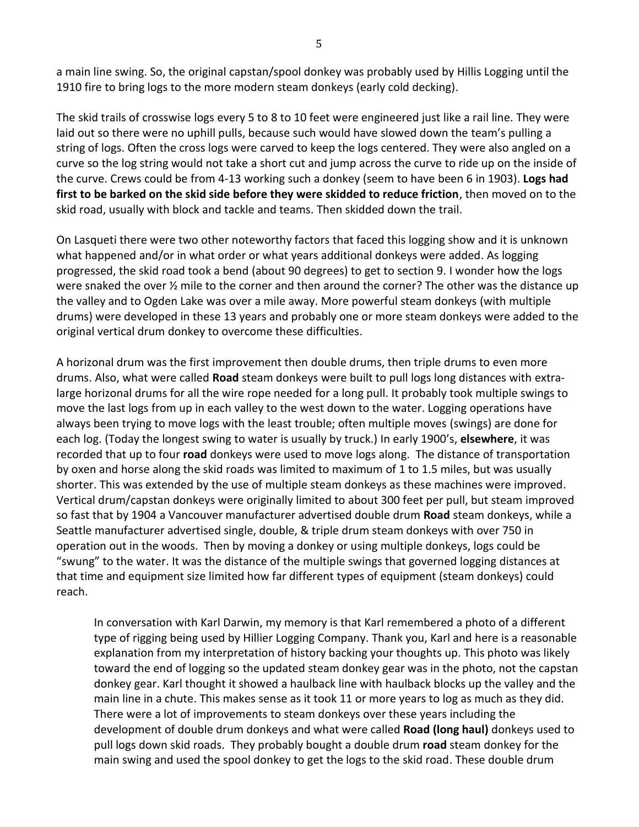a main line swing. So, the original capstan/spool donkey was probably used by Hillis Logging until the 1910 fire to bring logs to the more modern steam donkeys (early cold decking).

The skid trails of crosswise logs every 5 to 8 to 10 feet were engineered just like a rail line. They were laid out so there were no uphill pulls, because such would have slowed down the team's pulling a string of logs. Often the cross logs were carved to keep the logs centered. They were also angled on a curve so the log string would not take a short cut and jump across the curve to ride up on the inside of the curve. Crews could be from 4-13 working such a donkey (seem to have been 6 in 1903). **Logs had first to be barked on the skid side before they were skidded to reduce friction**, then moved on to the skid road, usually with block and tackle and teams. Then skidded down the trail.

On Lasqueti there were two other noteworthy factors that faced this logging show and it is unknown what happened and/or in what order or what years additional donkeys were added. As logging progressed, the skid road took a bend (about 90 degrees) to get to section 9. I wonder how the logs were snaked the over  $\frac{1}{2}$  mile to the corner and then around the corner? The other was the distance up the valley and to Ogden Lake was over a mile away. More powerful steam donkeys (with multiple drums) were developed in these 13 years and probably one or more steam donkeys were added to the original vertical drum donkey to overcome these difficulties.

A horizonal drum was the first improvement then double drums, then triple drums to even more drums. Also, what were called **Road** steam donkeys were built to pull logs long distances with extralarge horizonal drums for all the wire rope needed for a long pull. It probably took multiple swings to move the last logs from up in each valley to the west down to the water. Logging operations have always been trying to move logs with the least trouble; often multiple moves (swings) are done for each log. (Today the longest swing to water is usually by truck.) In early 1900's, **elsewhere**, it was recorded that up to four **road** donkeys were used to move logs along. The distance of transportation by oxen and horse along the skid roads was limited to maximum of 1 to 1.5 miles, but was usually shorter. This was extended by the use of multiple steam donkeys as these machines were improved. Vertical drum/capstan donkeys were originally limited to about 300 feet per pull, but steam improved so fast that by 1904 a Vancouver manufacturer advertised double drum **Road** steam donkeys, while a Seattle manufacturer advertised single, double, & triple drum steam donkeys with over 750 in operation out in the woods. Then by moving a donkey or using multiple donkeys, logs could be "swung" to the water. It was the distance of the multiple swings that governed logging distances at that time and equipment size limited how far different types of equipment (steam donkeys) could reach.

In conversation with Karl Darwin, my memory is that Karl remembered a photo of a different type of rigging being used by Hillier Logging Company. Thank you, Karl and here is a reasonable explanation from my interpretation of history backing your thoughts up. This photo was likely toward the end of logging so the updated steam donkey gear was in the photo, not the capstan donkey gear. Karl thought it showed a haulback line with haulback blocks up the valley and the main line in a chute. This makes sense as it took 11 or more years to log as much as they did. There were a lot of improvements to steam donkeys over these years including the development of double drum donkeys and what were called **Road (long haul)** donkeys used to pull logs down skid roads. They probably bought a double drum **road** steam donkey for the main swing and used the spool donkey to get the logs to the skid road. These double drum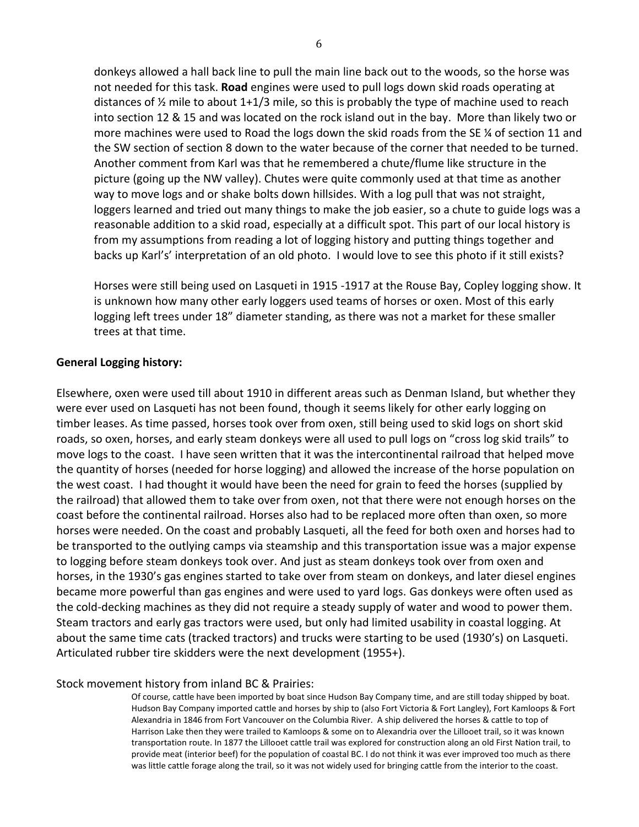donkeys allowed a hall back line to pull the main line back out to the woods, so the horse was not needed for this task. **Road** engines were used to pull logs down skid roads operating at distances of  $\frac{1}{2}$  mile to about 1+1/3 mile, so this is probably the type of machine used to reach into section 12 & 15 and was located on the rock island out in the bay. More than likely two or more machines were used to Road the logs down the skid roads from the SE % of section 11 and the SW section of section 8 down to the water because of the corner that needed to be turned. Another comment from Karl was that he remembered a chute/flume like structure in the picture (going up the NW valley). Chutes were quite commonly used at that time as another way to move logs and or shake bolts down hillsides. With a log pull that was not straight, loggers learned and tried out many things to make the job easier, so a chute to guide logs was a reasonable addition to a skid road, especially at a difficult spot. This part of our local history is from my assumptions from reading a lot of logging history and putting things together and backs up Karl's' interpretation of an old photo. I would love to see this photo if it still exists?

Horses were still being used on Lasqueti in 1915 -1917 at the Rouse Bay, Copley logging show. It is unknown how many other early loggers used teams of horses or oxen. Most of this early logging left trees under 18" diameter standing, as there was not a market for these smaller trees at that time.

## **General Logging history:**

Elsewhere, oxen were used till about 1910 in different areas such as Denman Island, but whether they were ever used on Lasqueti has not been found, though it seems likely for other early logging on timber leases. As time passed, horses took over from oxen, still being used to skid logs on short skid roads, so oxen, horses, and early steam donkeys were all used to pull logs on "cross log skid trails" to move logs to the coast. I have seen written that it was the intercontinental railroad that helped move the quantity of horses (needed for horse logging) and allowed the increase of the horse population on the west coast. I had thought it would have been the need for grain to feed the horses (supplied by the railroad) that allowed them to take over from oxen, not that there were not enough horses on the coast before the continental railroad. Horses also had to be replaced more often than oxen, so more horses were needed. On the coast and probably Lasqueti, all the feed for both oxen and horses had to be transported to the outlying camps via steamship and this transportation issue was a major expense to logging before steam donkeys took over. And just as steam donkeys took over from oxen and horses, in the 1930's gas engines started to take over from steam on donkeys, and later diesel engines became more powerful than gas engines and were used to yard logs. Gas donkeys were often used as the cold-decking machines as they did not require a steady supply of water and wood to power them. Steam tractors and early gas tractors were used, but only had limited usability in coastal logging. At about the same time cats (tracked tractors) and trucks were starting to be used (1930's) on Lasqueti. Articulated rubber tire skidders were the next development (1955+).

### Stock movement history from inland BC & Prairies:

Of course, cattle have been imported by boat since Hudson Bay Company time, and are still today shipped by boat. Hudson Bay Company imported cattle and horses by ship to (also Fort Victoria & Fort Langley), Fort Kamloops & Fort Alexandria in 1846 from Fort Vancouver on the Columbia River. A ship delivered the horses & cattle to top of Harrison Lake then they were trailed to Kamloops & some on to Alexandria over the Lillooet trail, so it was known transportation route. In 1877 the Lillooet cattle trail was explored for construction along an old First Nation trail, to provide meat (interior beef) for the population of coastal BC. I do not think it was ever improved too much as there was little cattle forage along the trail, so it was not widely used for bringing cattle from the interior to the coast.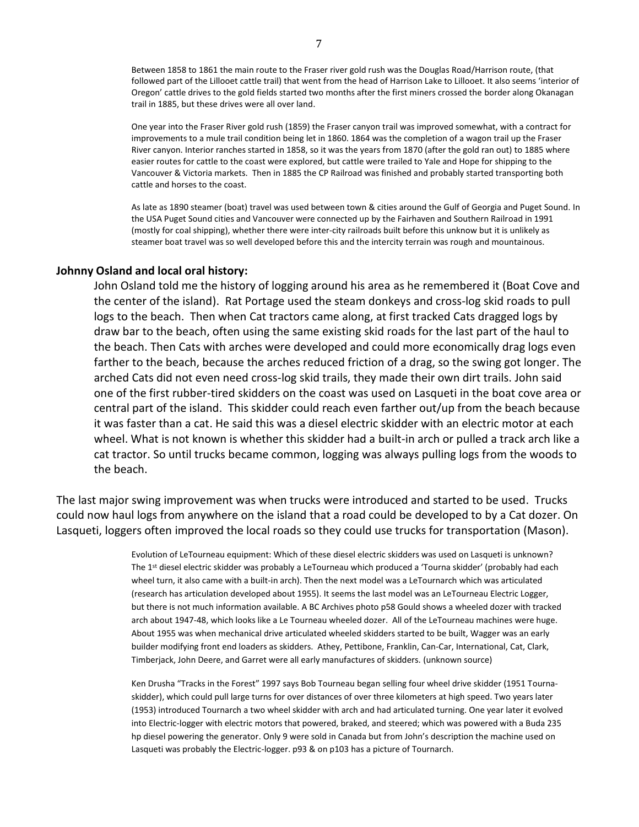Between 1858 to 1861 the main route to the Fraser river gold rush was the Douglas Road/Harrison route, (that followed part of the Lillooet cattle trail) that went from the head of Harrison Lake to Lillooet. It also seems 'interior of Oregon' cattle drives to the gold fields started two months after the first miners crossed the border along Okanagan trail in 1885, but these drives were all over land.

One year into the Fraser River gold rush (1859) the Fraser canyon trail was improved somewhat, with a contract for improvements to a mule trail condition being let in 1860. 1864 was the completion of a wagon trail up the Fraser River canyon. Interior ranches started in 1858, so it was the years from 1870 (after the gold ran out) to 1885 where easier routes for cattle to the coast were explored, but cattle were trailed to Yale and Hope for shipping to the Vancouver & Victoria markets. Then in 1885 the CP Railroad was finished and probably started transporting both cattle and horses to the coast.

As late as 1890 steamer (boat) travel was used between town & cities around the Gulf of Georgia and Puget Sound. In the USA Puget Sound cities and Vancouver were connected up by the Fairhaven and Southern Railroad in 1991 (mostly for coal shipping), whether there were inter-city railroads built before this unknow but it is unlikely as steamer boat travel was so well developed before this and the intercity terrain was rough and mountainous.

#### **Johnny Osland and local oral history:**

John Osland told me the history of logging around his area as he remembered it (Boat Cove and the center of the island). Rat Portage used the steam donkeys and cross-log skid roads to pull logs to the beach. Then when Cat tractors came along, at first tracked Cats dragged logs by draw bar to the beach, often using the same existing skid roads for the last part of the haul to the beach. Then Cats with arches were developed and could more economically drag logs even farther to the beach, because the arches reduced friction of a drag, so the swing got longer. The arched Cats did not even need cross-log skid trails, they made their own dirt trails. John said one of the first rubber-tired skidders on the coast was used on Lasqueti in the boat cove area or central part of the island. This skidder could reach even farther out/up from the beach because it was faster than a cat. He said this was a diesel electric skidder with an electric motor at each wheel. What is not known is whether this skidder had a built-in arch or pulled a track arch like a cat tractor. So until trucks became common, logging was always pulling logs from the woods to the beach.

The last major swing improvement was when trucks were introduced and started to be used. Trucks could now haul logs from anywhere on the island that a road could be developed to by a Cat dozer. On Lasqueti, loggers often improved the local roads so they could use trucks for transportation (Mason).

> Evolution of LeTourneau equipment: Which of these diesel electric skidders was used on Lasqueti is unknown? The 1<sup>st</sup> diesel electric skidder was probably a LeTourneau which produced a 'Tourna skidder' (probably had each wheel turn, it also came with a built-in arch). Then the next model was a LeTournarch which was articulated (research has articulation developed about 1955). It seems the last model was an LeTourneau Electric Logger, but there is not much information available. A BC Archives photo p58 Gould shows a wheeled dozer with tracked arch about 1947-48, which looks like a Le Tourneau wheeled dozer. All of the LeTourneau machines were huge. About 1955 was when mechanical drive articulated wheeled skidders started to be built, Wagger was an early builder modifying front end loaders as skidders. Athey, Pettibone, Franklin, Can-Car, International, Cat, Clark, Timberjack, John Deere, and Garret were all early manufactures of skidders. (unknown source)

> Ken Drusha "Tracks in the Forest" 1997 says Bob Tourneau began selling four wheel drive skidder (1951 Tournaskidder), which could pull large turns for over distances of over three kilometers at high speed. Two years later (1953) introduced Tournarch a two wheel skidder with arch and had articulated turning. One year later it evolved into Electric-logger with electric motors that powered, braked, and steered; which was powered with a Buda 235 hp diesel powering the generator. Only 9 were sold in Canada but from John's description the machine used on Lasqueti was probably the Electric-logger. p93 & on p103 has a picture of Tournarch.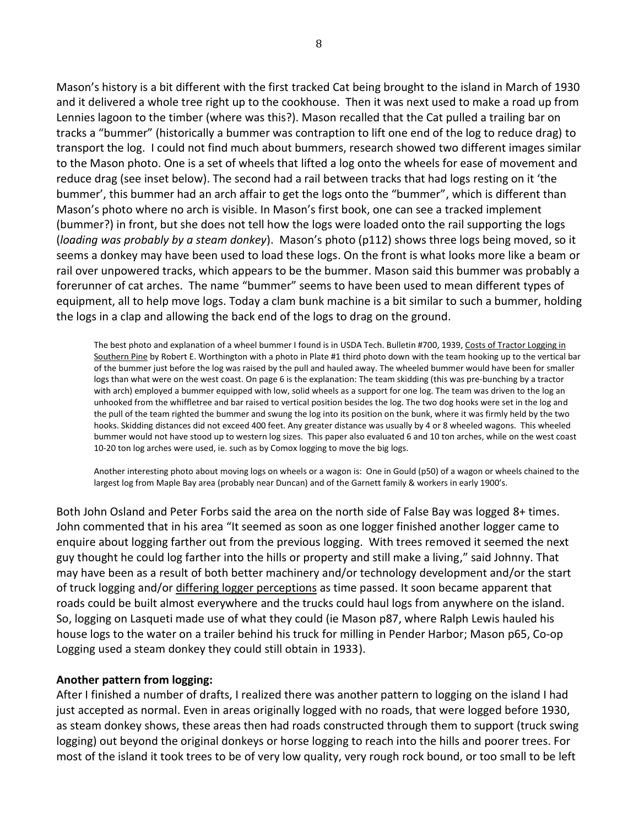Mason's history is a bit different with the first tracked Cat being brought to the island in March of 1930 and it delivered a whole tree right up to the cookhouse. Then it was next used to make a road up from Lennies lagoon to the timber (where was this?). Mason recalled that the Cat pulled a trailing bar on tracks a "bummer" (historically a bummer was contraption to lift one end of the log to reduce drag) to transport the log. I could not find much about bummers, research showed two different images similar to the Mason photo. One is a set of wheels that lifted a log onto the wheels for ease of movement and reduce drag (see inset below). The second had a rail between tracks that had logs resting on it 'the bummer', this bummer had an arch affair to get the logs onto the "bummer", which is different than Mason's photo where no arch is visible. In Mason's first book, one can see a tracked implement (bummer?) in front, but she does not tell how the logs were loaded onto the rail supporting the logs (*loading was probably by a steam donkey*). Mason's photo (p112) shows three logs being moved, so it seems a donkey may have been used to load these logs. On the front is what looks more like a beam or rail over unpowered tracks, which appears to be the bummer. Mason said this bummer was probably a forerunner of cat arches. The name "bummer" seems to have been used to mean different types of equipment, all to help move logs. Today a clam bunk machine is a bit similar to such a bummer, holding the logs in a clap and allowing the back end of the logs to drag on the ground.

The best photo and explanation of a wheel bummer I found is in USDA Tech. Bulletin #700, 1939, Costs of Tractor Logging in Southern Pine by Robert E. Worthington with a photo in Plate #1 third photo down with the team hooking up to the vertical bar of the bummer just before the log was raised by the pull and hauled away. The wheeled bummer would have been for smaller logs than what were on the west coast. On page 6 is the explanation: The team skidding (this was pre-bunching by a tractor with arch) employed a bummer equipped with low, solid wheels as a support for one log. The team was driven to the log an unhooked from the whiffletree and bar raised to vertical position besides the log. The two dog hooks were set in the log and the pull of the team righted the bummer and swung the log into its position on the bunk, where it was firmly held by the two hooks. Skidding distances did not exceed 400 feet. Any greater distance was usually by 4 or 8 wheeled wagons. This wheeled bummer would not have stood up to western log sizes. This paper also evaluated 6 and 10 ton arches, while on the west coast 10-20 ton log arches were used, ie. such as by Comox logging to move the big logs.

Another interesting photo about moving logs on wheels or a wagon is: One in Gould (p50) of a wagon or wheels chained to the largest log from Maple Bay area (probably near Duncan) and of the Garnett family & workers in early 1900's.

Both John Osland and Peter Forbs said the area on the north side of False Bay was logged 8+ times. John commented that in his area "It seemed as soon as one logger finished another logger came to enquire about logging farther out from the previous logging. With trees removed it seemed the next guy thought he could log farther into the hills or property and still make a living," said Johnny. That may have been as a result of both better machinery and/or technology development and/or the start of truck logging and/or differing logger perceptions as time passed. It soon became apparent that roads could be built almost everywhere and the trucks could haul logs from anywhere on the island. So, logging on Lasqueti made use of what they could (ie Mason p87, where Ralph Lewis hauled his house logs to the water on a trailer behind his truck for milling in Pender Harbor; Mason p65, Co-op Logging used a steam donkey they could still obtain in 1933).

### **Another pattern from logging:**

After I finished a number of drafts, I realized there was another pattern to logging on the island I had just accepted as normal. Even in areas originally logged with no roads, that were logged before 1930, as steam donkey shows, these areas then had roads constructed through them to support (truck swing logging) out beyond the original donkeys or horse logging to reach into the hills and poorer trees. For most of the island it took trees to be of very low quality, very rough rock bound, or too small to be left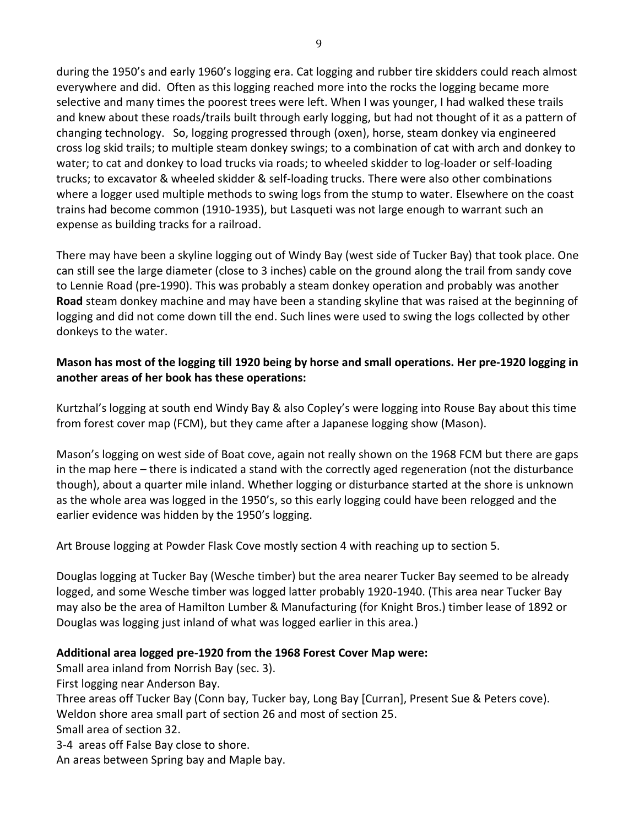during the 1950's and early 1960's logging era. Cat logging and rubber tire skidders could reach almost everywhere and did. Often as this logging reached more into the rocks the logging became more selective and many times the poorest trees were left. When I was younger, I had walked these trails and knew about these roads/trails built through early logging, but had not thought of it as a pattern of changing technology. So, logging progressed through (oxen), horse, steam donkey via engineered cross log skid trails; to multiple steam donkey swings; to a combination of cat with arch and donkey to water; to cat and donkey to load trucks via roads; to wheeled skidder to log-loader or self-loading trucks; to excavator & wheeled skidder & self-loading trucks. There were also other combinations where a logger used multiple methods to swing logs from the stump to water. Elsewhere on the coast trains had become common (1910-1935), but Lasqueti was not large enough to warrant such an expense as building tracks for a railroad.

There may have been a skyline logging out of Windy Bay (west side of Tucker Bay) that took place. One can still see the large diameter (close to 3 inches) cable on the ground along the trail from sandy cove to Lennie Road (pre-1990). This was probably a steam donkey operation and probably was another **Road** steam donkey machine and may have been a standing skyline that was raised at the beginning of logging and did not come down till the end. Such lines were used to swing the logs collected by other donkeys to the water.

## **Mason has most of the logging till 1920 being by horse and small operations. Her pre-1920 logging in another areas of her book has these operations:**

Kurtzhal's logging at south end Windy Bay & also Copley's were logging into Rouse Bay about this time from forest cover map (FCM), but they came after a Japanese logging show (Mason).

Mason's logging on west side of Boat cove, again not really shown on the 1968 FCM but there are gaps in the map here – there is indicated a stand with the correctly aged regeneration (not the disturbance though), about a quarter mile inland. Whether logging or disturbance started at the shore is unknown as the whole area was logged in the 1950's, so this early logging could have been relogged and the earlier evidence was hidden by the 1950's logging.

Art Brouse logging at Powder Flask Cove mostly section 4 with reaching up to section 5.

Douglas logging at Tucker Bay (Wesche timber) but the area nearer Tucker Bay seemed to be already logged, and some Wesche timber was logged latter probably 1920-1940. (This area near Tucker Bay may also be the area of Hamilton Lumber & Manufacturing (for Knight Bros.) timber lease of 1892 or Douglas was logging just inland of what was logged earlier in this area.)

## **Additional area logged pre-1920 from the 1968 Forest Cover Map were:**

Small area inland from Norrish Bay (sec. 3).

First logging near Anderson Bay.

Three areas off Tucker Bay (Conn bay, Tucker bay, Long Bay [Curran], Present Sue & Peters cove).

Weldon shore area small part of section 26 and most of section 25.

Small area of section 32.

3-4 areas off False Bay close to shore.

An areas between Spring bay and Maple bay.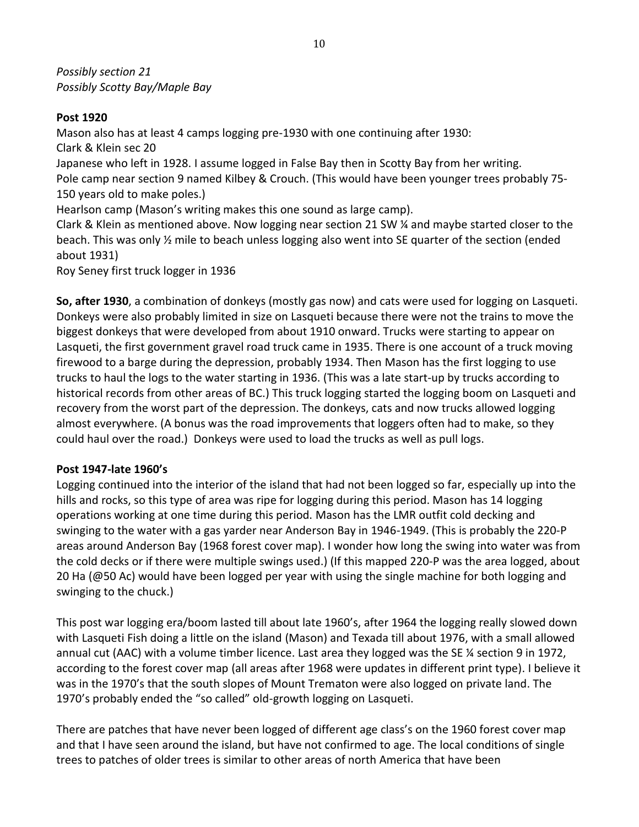*Possibly section 21 Possibly Scotty Bay/Maple Bay*

## **Post 1920**

Mason also has at least 4 camps logging pre-1930 with one continuing after 1930: Clark & Klein sec 20 Japanese who left in 1928. I assume logged in False Bay then in Scotty Bay from her writing. Pole camp near section 9 named Kilbey & Crouch. (This would have been younger trees probably 75- 150 years old to make poles.) Hearlson camp (Mason's writing makes this one sound as large camp). Clark & Klein as mentioned above. Now logging near section 21 SW ¼ and maybe started closer to the beach. This was only ½ mile to beach unless logging also went into SE quarter of the section (ended about 1931)

Roy Seney first truck logger in 1936

**So, after 1930**, a combination of donkeys (mostly gas now) and cats were used for logging on Lasqueti. Donkeys were also probably limited in size on Lasqueti because there were not the trains to move the biggest donkeys that were developed from about 1910 onward. Trucks were starting to appear on Lasqueti, the first government gravel road truck came in 1935. There is one account of a truck moving firewood to a barge during the depression, probably 1934. Then Mason has the first logging to use trucks to haul the logs to the water starting in 1936. (This was a late start-up by trucks according to historical records from other areas of BC.) This truck logging started the logging boom on Lasqueti and recovery from the worst part of the depression. The donkeys, cats and now trucks allowed logging almost everywhere. (A bonus was the road improvements that loggers often had to make, so they could haul over the road.) Donkeys were used to load the trucks as well as pull logs.

## **Post 1947-late 1960's**

Logging continued into the interior of the island that had not been logged so far, especially up into the hills and rocks, so this type of area was ripe for logging during this period. Mason has 14 logging operations working at one time during this period. Mason has the LMR outfit cold decking and swinging to the water with a gas yarder near Anderson Bay in 1946-1949. (This is probably the 220-P areas around Anderson Bay (1968 forest cover map). I wonder how long the swing into water was from the cold decks or if there were multiple swings used.) (If this mapped 220-P was the area logged, about 20 Ha (@50 Ac) would have been logged per year with using the single machine for both logging and swinging to the chuck.)

This post war logging era/boom lasted till about late 1960's, after 1964 the logging really slowed down with Lasqueti Fish doing a little on the island (Mason) and Texada till about 1976, with a small allowed annual cut (AAC) with a volume timber licence. Last area they logged was the SE ¼ section 9 in 1972, according to the forest cover map (all areas after 1968 were updates in different print type). I believe it was in the 1970's that the south slopes of Mount Trematon were also logged on private land. The 1970's probably ended the "so called" old-growth logging on Lasqueti.

There are patches that have never been logged of different age class's on the 1960 forest cover map and that I have seen around the island, but have not confirmed to age. The local conditions of single trees to patches of older trees is similar to other areas of north America that have been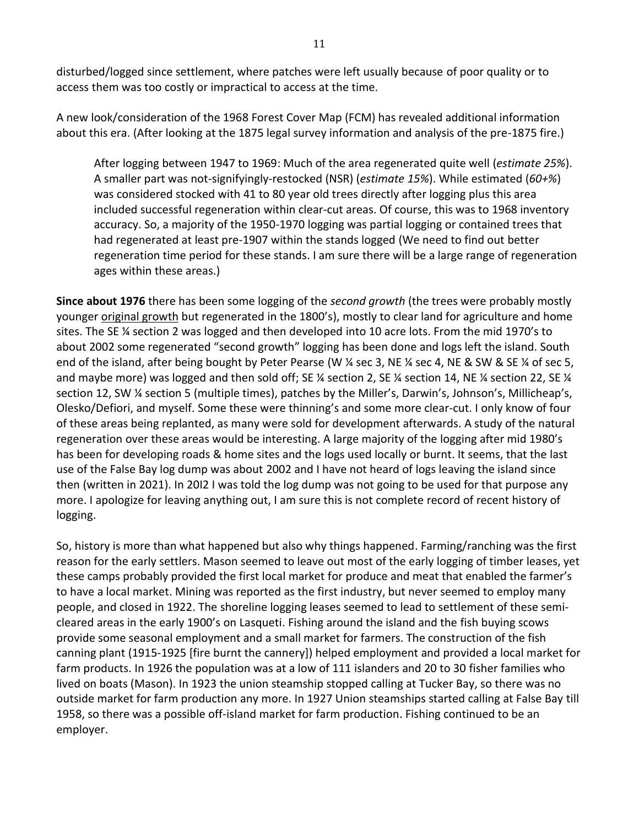disturbed/logged since settlement, where patches were left usually because of poor quality or to access them was too costly or impractical to access at the time.

A new look/consideration of the 1968 Forest Cover Map (FCM) has revealed additional information about this era. (After looking at the 1875 legal survey information and analysis of the pre-1875 fire.)

After logging between 1947 to 1969: Much of the area regenerated quite well (*estimate 25%*). A smaller part was not-signifyingly-restocked (NSR) (*estimate 15%*). While estimated (*60+%*) was considered stocked with 41 to 80 year old trees directly after logging plus this area included successful regeneration within clear-cut areas. Of course, this was to 1968 inventory accuracy. So, a majority of the 1950-1970 logging was partial logging or contained trees that had regenerated at least pre-1907 within the stands logged (We need to find out better regeneration time period for these stands. I am sure there will be a large range of regeneration ages within these areas.)

**Since about 1976** there has been some logging of the *second growth* (the trees were probably mostly younger original growth but regenerated in the 1800's), mostly to clear land for agriculture and home sites. The SE ¼ section 2 was logged and then developed into 10 acre lots. From the mid 1970's to about 2002 some regenerated "second growth" logging has been done and logs left the island. South end of the island, after being bought by Peter Pearse (W % sec 3, NE % sec 4, NE & SW & SE % of sec 5, and maybe more) was logged and then sold off; SE ¼ section 2, SE ¼ section 14, NE ¼ section 22, SE ¼ section 12, SW ¼ section 5 (multiple times), patches by the Miller's, Darwin's, Johnson's, Millicheap's, Olesko/Defiori, and myself. Some these were thinning's and some more clear-cut. I only know of four of these areas being replanted, as many were sold for development afterwards. A study of the natural regeneration over these areas would be interesting. A large majority of the logging after mid 1980's has been for developing roads & home sites and the logs used locally or burnt. It seems, that the last use of the False Bay log dump was about 2002 and I have not heard of logs leaving the island since then (written in 2021). In 20I2 I was told the log dump was not going to be used for that purpose any more. I apologize for leaving anything out, I am sure this is not complete record of recent history of logging.

So, history is more than what happened but also why things happened. Farming/ranching was the first reason for the early settlers. Mason seemed to leave out most of the early logging of timber leases, yet these camps probably provided the first local market for produce and meat that enabled the farmer's to have a local market. Mining was reported as the first industry, but never seemed to employ many people, and closed in 1922. The shoreline logging leases seemed to lead to settlement of these semicleared areas in the early 1900's on Lasqueti. Fishing around the island and the fish buying scows provide some seasonal employment and a small market for farmers. The construction of the fish canning plant (1915-1925 [fire burnt the cannery]) helped employment and provided a local market for farm products. In 1926 the population was at a low of 111 islanders and 20 to 30 fisher families who lived on boats (Mason). In 1923 the union steamship stopped calling at Tucker Bay, so there was no outside market for farm production any more. In 1927 Union steamships started calling at False Bay till 1958, so there was a possible off-island market for farm production. Fishing continued to be an employer.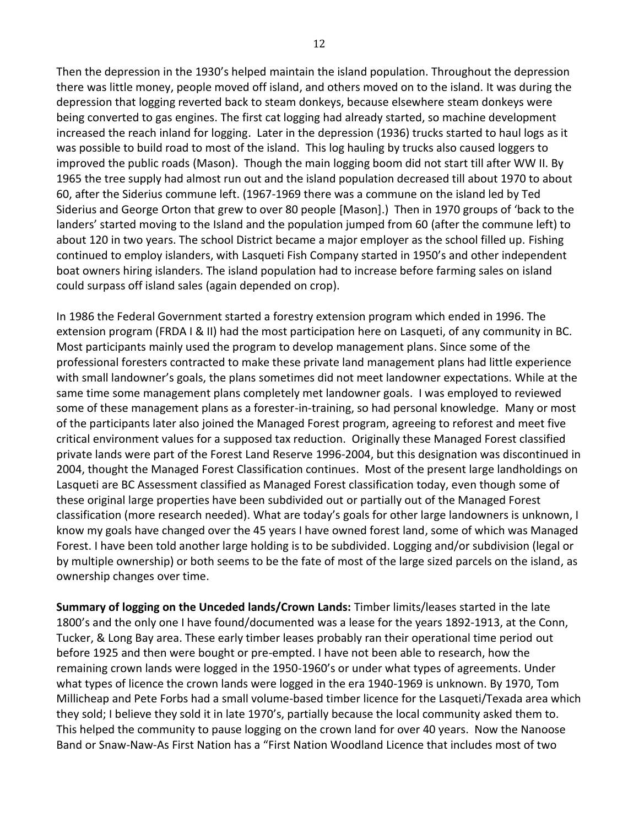Then the depression in the 1930's helped maintain the island population. Throughout the depression there was little money, people moved off island, and others moved on to the island. It was during the depression that logging reverted back to steam donkeys, because elsewhere steam donkeys were being converted to gas engines. The first cat logging had already started, so machine development increased the reach inland for logging. Later in the depression (1936) trucks started to haul logs as it was possible to build road to most of the island. This log hauling by trucks also caused loggers to improved the public roads (Mason). Though the main logging boom did not start till after WW II. By 1965 the tree supply had almost run out and the island population decreased till about 1970 to about 60, after the Siderius commune left. (1967-1969 there was a commune on the island led by Ted Siderius and George Orton that grew to over 80 people [Mason].) Then in 1970 groups of 'back to the landers' started moving to the Island and the population jumped from 60 (after the commune left) to about 120 in two years. The school District became a major employer as the school filled up. Fishing continued to employ islanders, with Lasqueti Fish Company started in 1950's and other independent boat owners hiring islanders. The island population had to increase before farming sales on island could surpass off island sales (again depended on crop).

In 1986 the Federal Government started a forestry extension program which ended in 1996. The extension program (FRDA I & II) had the most participation here on Lasqueti, of any community in BC. Most participants mainly used the program to develop management plans. Since some of the professional foresters contracted to make these private land management plans had little experience with small landowner's goals, the plans sometimes did not meet landowner expectations. While at the same time some management plans completely met landowner goals. I was employed to reviewed some of these management plans as a forester-in-training, so had personal knowledge. Many or most of the participants later also joined the Managed Forest program, agreeing to reforest and meet five critical environment values for a supposed tax reduction. Originally these Managed Forest classified private lands were part of the Forest Land Reserve 1996-2004, but this designation was discontinued in 2004, thought the Managed Forest Classification continues. Most of the present large landholdings on Lasqueti are BC Assessment classified as Managed Forest classification today, even though some of these original large properties have been subdivided out or partially out of the Managed Forest classification (more research needed). What are today's goals for other large landowners is unknown, I know my goals have changed over the 45 years I have owned forest land, some of which was Managed Forest. I have been told another large holding is to be subdivided. Logging and/or subdivision (legal or by multiple ownership) or both seems to be the fate of most of the large sized parcels on the island, as ownership changes over time.

**Summary of logging on the Unceded lands/Crown Lands:** Timber limits/leases started in the late 1800's and the only one I have found/documented was a lease for the years 1892-1913, at the Conn, Tucker, & Long Bay area. These early timber leases probably ran their operational time period out before 1925 and then were bought or pre-empted. I have not been able to research, how the remaining crown lands were logged in the 1950-1960's or under what types of agreements. Under what types of licence the crown lands were logged in the era 1940-1969 is unknown. By 1970, Tom Millicheap and Pete Forbs had a small volume-based timber licence for the Lasqueti/Texada area which they sold; I believe they sold it in late 1970's, partially because the local community asked them to. This helped the community to pause logging on the crown land for over 40 years. Now the Nanoose Band or Snaw-Naw-As First Nation has a "First Nation Woodland Licence that includes most of two